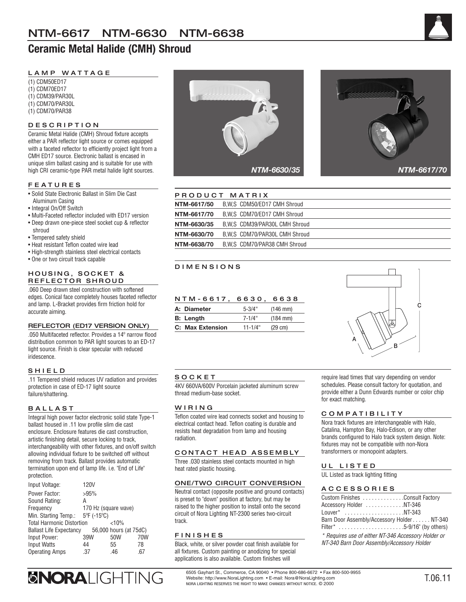# **Ceramic Metal Halide (CMH) Shroud**



# LAMP WATTAGE

(1) CDM50ED17 (1) CDM70ED17 (1) CDM39/PAR30L (1) CDM70/PAR30L (1) CDM70/PAR38

# DESCRIPTION

Ceramic Metal Halide (CMH) Shroud fixture accepts either a PAR reflector light source or comes equipped with a faceted reflector to efficiently project light from a CMH ED17 source. Electronic ballast is encased in unique slim ballast casing and is suitable for use with high CRI ceramic-type PAR metal halide light sources.

### FEATURES

- Solid State Electronic Ballast in Slim Die Cast Aluminum Casing
- Integral On/Off Switch
- Multi-Faceted reflector included with ED17 version
- Deep drawn one-piece steel socket cup & reflector
- shroud • Tempered safety shield
- Heat resistant Teflon coated wire lead
- High-strength stainless steel electrical contacts
- One or two circuit track capable

#### HOUSING, SOCKET & REFLECTOR SHROUD

.060 Deep drawn steel construction with softened edges. Conical face completely houses faceted reflector and lamp. L-Bracket provides firm friction hold for accurate aiming.

#### REFLECTOR (ED17 VERSION ONLY)

.050 Multifaceted reflector. Provides a 14º narrow flood distribution common to PAR light sources to an ED-17 light source. Finish is clear specular with reduced iridescence.

#### SHIELD

.11 Tempered shield reduces UV radiation and provides protection in case of ED-17 light source failure/shattering.

#### BALLAST

Integral high power factor electronic solid state Type-1 ballast housed in .11 low profile slim die cast enclosure. Enclosure features die cast construction, artistic finishing detail, secure locking to track, interchangeability with other fixtures, and on/off switch allowing individual fixture to be switched off without removing from track. Ballast provides automatic termination upon end of lamp life. i.e. "End of Life" protection.

| Input Voltage:                                       | 120V                 |                        |     |
|------------------------------------------------------|----------------------|------------------------|-----|
| Power Factor:                                        | >95%                 |                        |     |
| Sound Rating:                                        | А                    |                        |     |
| Frequency                                            | 170 Hz (square wave) |                        |     |
| Min. Starting Temp.: $5^{\circ}F$ (-15 $^{\circ}C$ ) |                      |                        |     |
| <b>Total Harmonic Distortion</b>                     |                      | < 10%                  |     |
| <b>Ballast Life Expectancy</b>                       |                      | 56,000 hours (at 75dC) |     |
| Input Power:                                         | 39W                  | 50W                    | 70W |
| <b>Input Watts</b>                                   | 44                   | 55                     | 78  |
| <b>Operating Amps</b>                                | .37                  | .46                    | .67 |





|             | PRODUCT MATRIX                 |
|-------------|--------------------------------|
| NTM-6617/50 | B.W.S CDM50/ED17 CMH Shroud    |
| NTM-6617/70 | B.W.S. CDM70/ED17 CMH Shroud   |
| NTM-6630/35 | B.W.S CDM39/PAR30L CMH Shroud  |
| NTM-6630/70 | B.W.S. CDM70/PAR30L CMH Shroud |
| NTM-6638/70 | B.W.S CDM70/PAR38 CMH Shroud   |

# DIMENSIONS

| NTM-6617.        | 6630.       | 6638                 |
|------------------|-------------|----------------------|
| A: Diameter      | $5 - 3/4"$  | $(146 \, \text{mm})$ |
| <b>B:</b> Length | $7 - 1/4"$  | $(184 \, \text{mm})$ |
| C: Max Extension | $11 - 1/4"$ | $(29 \text{ cm})$    |



#### **SOCKET**

4KV 660VA/600V Porcelain jacketed aluminum screw thread medium-base socket.

#### WIRING

Teflon coated wire lead connects socket and housing to electrical contact head. Teflon coating is durable and resists heat degradation from lamp and housing radiation.

#### CONTACT HEAD ASSEMBLY

Three .030 stainless steel contacts mounted in high heat rated plastic housing.

#### ONE/TWO CIRCUIT CONVERSION

Neutral contact (opposite positive and ground contacts) is preset to "down" position at factory, but may be raised to the higher position to install onto the second circuit of Nora Lighting NT-2300 series two-circuit track.

#### FINISHES

Black, white, or silver powder coat finish available for all fixtures. Custom painting or anodizing for special applications is also available. Custom finishes will

require lead times that vary depending on vendor schedules. Please consult factory for quotation, and provide either a Dunn Edwards number or color chip for exact matching.

#### COMPATIBILITY

Nora track fixtures are interchangeable with Halo, Catalina, Hampton Bay, Halo-Edison, or any other brands configured to Halo track system design. Note: fixtures may not be compatible with non-Nora transformers or monopoint adapters.

#### UL LISTED

UL Listed as track lighting fitting

#### ACCESSORIES

| Custom Finishes Consult Factory                     |
|-----------------------------------------------------|
| Accessory Holder NT-346                             |
| Louver* NT-343                                      |
| Barn Door Assembly/Accessory Holder NT-340          |
| Filter* 5-9/16" (by others)                         |
| * Requires use of either NT-346 Accessory Holder or |
| NT-340 Barn Door Assembly/Accessory Holder          |

6505 Gayhart St., Commerce, CA 90040 • Phone 800-686-6672 • Fax 800-500-9955 SNORALIGHTING Website: http://www.NoraLighting.com • E-mail: Nora@NoraLighting.com NORA LIGHTING RESERVES THE RIGHT TO MAKE CHANGES WITHOUT NOTICE. © 2000